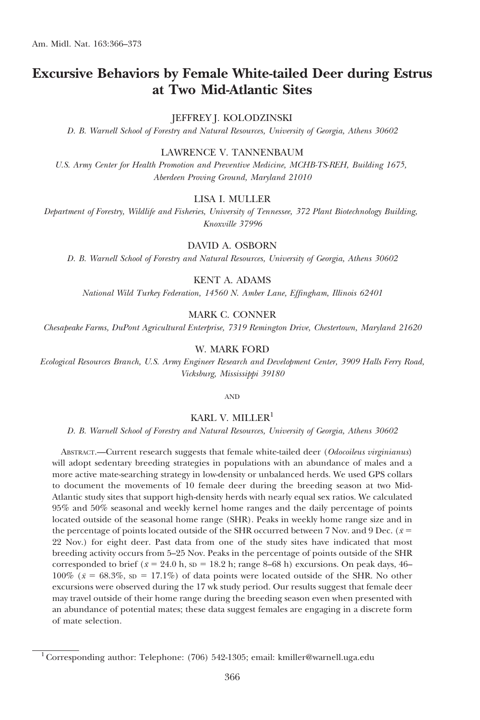# Excursive Behaviors by Female White-tailed Deer during Estrus at Two Mid-Atlantic Sites

## JEFFREY J. KOLODZINSKI

D. B. Warnell School of Forestry and Natural Resources, University of Georgia, Athens 30602

## LAWRENCE V. TANNENBAUM

U.S. Army Center for Health Promotion and Preventive Medicine, MCHB-TS-REH, Building 1675, Aberdeen Proving Ground, Maryland 21010

## LISA I. MULLER

Department of Forestry, Wildlife and Fisheries, University of Tennessee, 372 Plant Biotechnology Building, Knoxville 37996

## DAVID A. OSBORN

D. B. Warnell School of Forestry and Natural Resources, University of Georgia, Athens 30602

#### KENT A. ADAMS

National Wild Turkey Federation, 14560 N. Amber Lane, Effingham, Illinois 62401

# MARK C. CONNER

Chesapeake Farms, DuPont Agricultural Enterprise, 7319 Remington Drive, Chestertown, Maryland 21620

## W. MARK FORD

Ecological Resources Branch, U.S. Army Engineer Research and Development Center, 3909 Halls Ferry Road, Vicksburg, Mississippi 39180

AND

# KARL V. MILLER<sup>1</sup>

D. B. Warnell School of Forestry and Natural Resources, University of Georgia, Athens 30602

ABSTRACT.—Current research suggests that female white-tailed deer (Odocoileus virginianus) will adopt sedentary breeding strategies in populations with an abundance of males and a more active mate-searching strategy in low-density or unbalanced herds. We used GPS collars to document the movements of 10 female deer during the breeding season at two Mid-Atlantic study sites that support high-density herds with nearly equal sex ratios. We calculated 95% and 50% seasonal and weekly kernel home ranges and the daily percentage of points located outside of the seasonal home range (SHR). Peaks in weekly home range size and in the percentage of points located outside of the SHR occurred between 7 Nov. and 9 Dec. ( $\bar{x}$  = 22 Nov.) for eight deer. Past data from one of the study sites have indicated that most breeding activity occurs from 5–25 Nov. Peaks in the percentage of points outside of the SHR corresponded to brief ( $\bar{x}$  = 24.0 h, sp = 18.2 h; range 8–68 h) excursions. On peak days, 46–  $100\%$  ( $\bar{x}$  = 68.3%, sp = 17.1%) of data points were located outside of the SHR. No other excursions were observed during the 17 wk study period. Our results suggest that female deer may travel outside of their home range during the breeding season even when presented with an abundance of potential mates; these data suggest females are engaging in a discrete form of mate selection.

<sup>&</sup>lt;sup>1</sup> Corresponding author: Telephone: (706) 542-1305; email: kmiller@warnell.uga.edu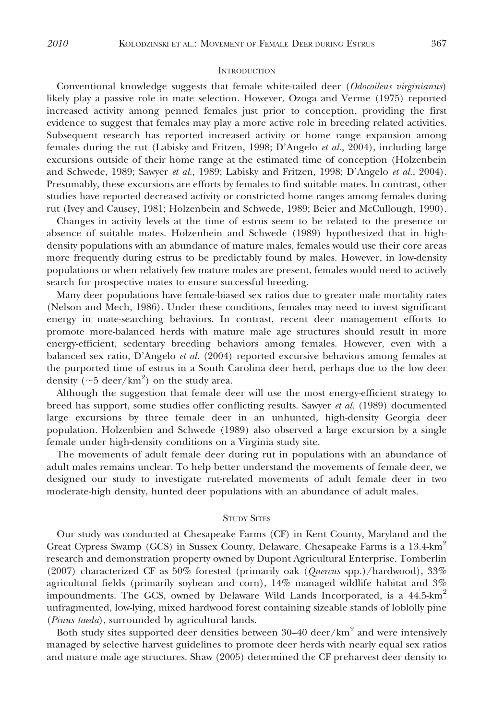#### **INTRODUCTION**

Conventional knowledge suggests that female white-tailed deer (*Odocoileus virginianus*) likely play a passive role in mate selection. However, Ozoga and Verme (1975) reported increased activity among penned females just prior to conception, providing the first evidence to suggest that females may play a more active role in breeding related activities. Subsequent research has reported increased activity or home range expansion among females during the rut (Labisky and Fritzen, 1998; D'Angelo et al., 2004), including large excursions outside of their home range at the estimated time of conception (Holzenbein and Schwede, 1989; Sawyer et al., 1989; Labisky and Fritzen, 1998; D'Angelo et al., 2004). Presumably, these excursions are efforts by females to find suitable mates. In contrast, other studies have reported decreased activity or constricted home ranges among females during rut (Ivey and Causey, 1981; Holzenbein and Schwede, 1989; Beier and McCullough, 1990).

Changes in activity levels at the time of estrus seem to be related to the presence or absence of suitable mates. Holzenbein and Schwede (1989) hypothesized that in highdensity populations with an abundance of mature males, females would use their core areas more frequently during estrus to be predictably found by males. However, in low-density populations or when relatively few mature males are present, females would need to actively search for prospective mates to ensure successful breeding.

Many deer populations have female-biased sex ratios due to greater male mortality rates (Nelson and Mech, 1986). Under these conditions, females may need to invest significant energy in mate-searching behaviors. In contrast, recent deer management efforts to promote more-balanced herds with mature male age structures should result in more energy-efficient, sedentary breeding behaviors among females. However, even with a balanced sex ratio, D'Angelo *et al.* (2004) reported excursive behaviors among females at the purported time of estrus in a South Carolina deer herd, perhaps due to the low deer density  $(\sim 5 \text{ deer/km}^2)$  on the study area.

Although the suggestion that female deer will use the most energy-efficient strategy to breed has support, some studies offer conflicting results. Sawyer et al. (1989) documented large excursions by three female deer in an unhunted, high-density Georgia deer population. Holzenbien and Schwede (1989) also observed a large excursion by a single female under high-density conditions on a Virginia study site.

The movements of adult female deer during rut in populations with an abundance of adult males remains unclear. To help better understand the movements of female deer, we designed our study to investigate rut-related movements of adult female deer in two moderate-high density, hunted deer populations with an abundance of adult males.

## STUDY SITES

Our study was conducted at Chesapeake Farms (CF) in Kent County, Maryland and the Great Cypress Swamp (GCS) in Sussex County, Delaware. Chesapeake Farms is a 13.4-km<sup>2</sup> research and demonstration property owned by Dupont Agricultural Enterprise. Tomberlin (2007) characterized CF as 50% forested (primarily oak (Quercus spp.)/hardwood),  $33\%$ agricultural fields (primarily soybean and corn),  $14\%$  managed wildlife habitat and  $3\%$ impoundments. The GCS, owned by Delaware Wild Lands Incorporated, is a  $44.5$ -km<sup>2</sup> unfragmented, low-lying, mixed hardwood forest containing sizeable stands of loblolly pine (Pinus taeda), surrounded by agricultural lands.

Both study sites supported deer densities between  $30-40$  deer/km<sup>2</sup> and were intensively managed by selective harvest guidelines to promote deer herds with nearly equal sex ratios and mature male age structures. Shaw (2005) determined the CF preharvest deer density to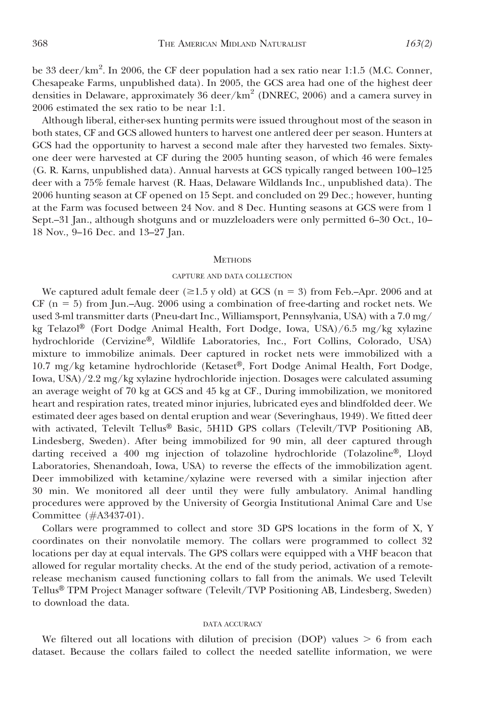be 33 deer/km<sup>2</sup>. In 2006, the CF deer population had a sex ratio near 1:1.5 (M.C. Conner, Chesapeake Farms, unpublished data). In 2005, the GCS area had one of the highest deer densities in Delaware, approximately 36 deer/km<sup>2</sup> (DNREC, 2006) and a camera survey in 2006 estimated the sex ratio to be near 1:1.

Although liberal, either-sex hunting permits were issued throughout most of the season in both states, CF and GCS allowed hunters to harvest one antlered deer per season. Hunters at GCS had the opportunity to harvest a second male after they harvested two females. Sixtyone deer were harvested at CF during the 2005 hunting season, of which 46 were females (G. R. Karns, unpublished data). Annual harvests at GCS typically ranged between 100–125 deer with a 75% female harvest (R. Haas, Delaware Wildlands Inc., unpublished data). The 2006 hunting season at CF opened on 15 Sept. and concluded on 29 Dec.; however, hunting at the Farm was focused between 24 Nov. and 8 Dec. Hunting seasons at GCS were from 1 Sept.–31 Jan., although shotguns and or muzzleloaders were only permitted 6–30 Oct., 10– 18 Nov., 9–16 Dec. and 13–27 Jan.

#### **METHODS**

#### CAPTURE AND DATA COLLECTION

We captured adult female deer ( $\geq$ 1.5 y old) at GCS (n = 3) from Feb.–Apr. 2006 and at CF ( $n = 5$ ) from Jun.–Aug. 2006 using a combination of free-darting and rocket nets. We used 3-ml transmitter darts (Pneu-dart Inc., Williamsport, Pennsylvania, USA) with a 7.0 mg/ kg Telazol<sup>®</sup> (Fort Dodge Animal Health, Fort Dodge, Iowa, USA)/6.5 mg/kg xylazine hydrochloride (Cervizine®, Wildlife Laboratories, Inc., Fort Collins, Colorado, USA) mixture to immobilize animals. Deer captured in rocket nets were immobilized with a  $10.7 \text{ mg/kg}$  ketamine hydrochloride (Ketaset®, Fort Dodge Animal Health, Fort Dodge, Iowa, USA)/2.2 mg/kg xylazine hydrochloride injection. Dosages were calculated assuming an average weight of 70 kg at GCS and 45 kg at CF., During immobilization, we monitored heart and respiration rates, treated minor injuries, lubricated eyes and blindfolded deer. We estimated deer ages based on dental eruption and wear (Severinghaus, 1949). We fitted deer with activated, Televilt Tellus® Basic, 5H1D GPS collars (Televilt/TVP Positioning AB, Lindesberg, Sweden). After being immobilized for 90 min, all deer captured through darting received a 400 mg injection of tolazoline hydrochloride (Tolazoline®, Lloyd Laboratories, Shenandoah, Iowa, USA) to reverse the effects of the immobilization agent. Deer immobilized with ketamine/xylazine were reversed with a similar injection after 30 min. We monitored all deer until they were fully ambulatory. Animal handling procedures were approved by the University of Georgia Institutional Animal Care and Use Committee (#A3437-01).

Collars were programmed to collect and store 3D GPS locations in the form of X, Y coordinates on their nonvolatile memory. The collars were programmed to collect 32 locations per day at equal intervals. The GPS collars were equipped with a VHF beacon that allowed for regular mortality checks. At the end of the study period, activation of a remoterelease mechanism caused functioning collars to fall from the animals. We used Televilt Tellus® TPM Project Manager software (Televilt/TVP Positioning AB, Lindesberg, Sweden) to download the data.

#### DATA ACCURACY

We filtered out all locations with dilution of precision (DOP) values  $> 6$  from each dataset. Because the collars failed to collect the needed satellite information, we were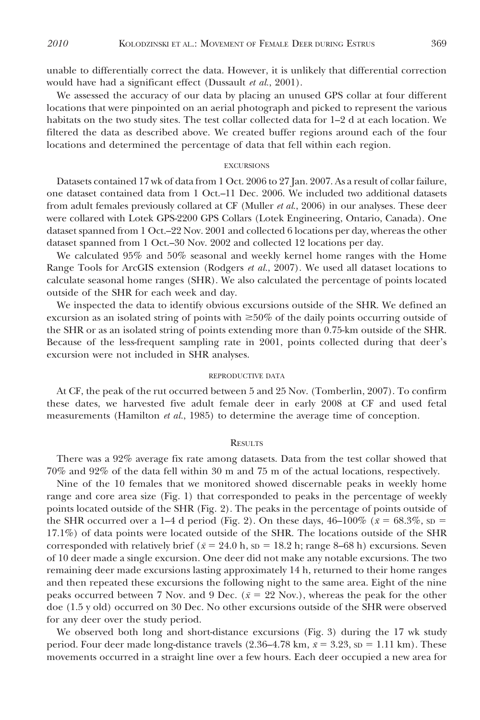unable to differentially correct the data. However, it is unlikely that differential correction would have had a significant effect (Dussault et al., 2001).

We assessed the accuracy of our data by placing an unused GPS collar at four different locations that were pinpointed on an aerial photograph and picked to represent the various habitats on the two study sites. The test collar collected data for 1–2 d at each location. We filtered the data as described above. We created buffer regions around each of the four locations and determined the percentage of data that fell within each region.

#### EXCURSIONS

Datasets contained 17 wk of data from 1 Oct. 2006 to 27 Jan. 2007. As a result of collar failure, one dataset contained data from 1 Oct.–11 Dec. 2006. We included two additional datasets from adult females previously collared at CF (Muller *et al.*, 2006) in our analyses. These deer were collared with Lotek GPS-2200 GPS Collars (Lotek Engineering, Ontario, Canada). One dataset spanned from 1 Oct.–22 Nov. 2001 and collected 6 locations per day, whereas the other dataset spanned from 1 Oct.–30 Nov. 2002 and collected 12 locations per day.

We calculated 95% and 50% seasonal and weekly kernel home ranges with the Home Range Tools for ArcGIS extension (Rodgers et al., 2007). We used all dataset locations to calculate seasonal home ranges (SHR). We also calculated the percentage of points located outside of the SHR for each week and day.

We inspected the data to identify obvious excursions outside of the SHR. We defined an excursion as an isolated string of points with  $\geq 50\%$  of the daily points occurring outside of the SHR or as an isolated string of points extending more than 0.75-km outside of the SHR. Because of the less-frequent sampling rate in 2001, points collected during that deer's excursion were not included in SHR analyses.

#### REPRODUCTIVE DATA

At CF, the peak of the rut occurred between 5 and 25 Nov. (Tomberlin, 2007). To confirm these dates, we harvested five adult female deer in early 2008 at CF and used fetal measurements (Hamilton *et al.*, 1985) to determine the average time of conception.

#### **RESULTS**

There was a 92% average fix rate among datasets. Data from the test collar showed that 70% and 92% of the data fell within 30 m and 75 m of the actual locations, respectively.

Nine of the 10 females that we monitored showed discernable peaks in weekly home range and core area size (Fig. 1) that corresponded to peaks in the percentage of weekly points located outside of the SHR (Fig. 2). The peaks in the percentage of points outside of the SHR occurred over a 1–4 d period (Fig. 2). On these days,  $46-100\%$  ( $\bar{x}=68.3\%$ , sp = 17.1%) of data points were located outside of the SHR. The locations outside of the SHR corresponded with relatively brief ( $\bar{x}$  = 24.0 h, sp = 18.2 h; range 8–68 h) excursions. Seven of 10 deer made a single excursion. One deer did not make any notable excursions. The two remaining deer made excursions lasting approximately 14 h, returned to their home ranges and then repeated these excursions the following night to the same area. Eight of the nine peaks occurred between 7 Nov. and 9 Dec. ( $\bar{x}$  = 22 Nov.), whereas the peak for the other doe (1.5 y old) occurred on 30 Dec. No other excursions outside of the SHR were observed for any deer over the study period.

We observed both long and short-distance excursions (Fig. 3) during the 17 wk study period. Four deer made long-distance travels (2.36–4.78 km,  $\bar{x}$  = 3.23, sp = 1.11 km). These movements occurred in a straight line over a few hours. Each deer occupied a new area for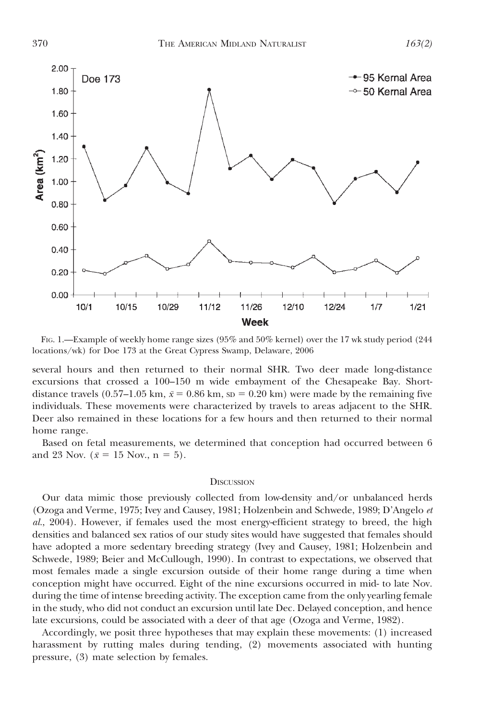

FIG. 1.—Example of weekly home range sizes (95% and 50% kernel) over the 17 wk study period (244 locations/wk) for Doe 173 at the Great Cypress Swamp, Delaware, 2006

several hours and then returned to their normal SHR. Two deer made long-distance excursions that crossed a 100–150 m wide embayment of the Chesapeake Bay. Shortdistance travels (0.57–1.05 km,  $\bar{x}$  = 0.86 km, sp = 0.20 km) were made by the remaining five individuals. These movements were characterized by travels to areas adjacent to the SHR. Deer also remained in these locations for a few hours and then returned to their normal home range.

Based on fetal measurements, we determined that conception had occurred between 6 and 23 Nov. ( $\bar{x} = 15$  Nov., n = 5).

#### **DISCUSSION**

Our data mimic those previously collected from low-density and/or unbalanced herds (Ozoga and Verme, 1975; Ivey and Causey, 1981; Holzenbein and Schwede, 1989; D'Angelo et al., 2004). However, if females used the most energy-efficient strategy to breed, the high densities and balanced sex ratios of our study sites would have suggested that females should have adopted a more sedentary breeding strategy (Ivey and Causey, 1981; Holzenbein and Schwede, 1989; Beier and McCullough, 1990). In contrast to expectations, we observed that most females made a single excursion outside of their home range during a time when conception might have occurred. Eight of the nine excursions occurred in mid- to late Nov. during the time of intense breeding activity. The exception came from the only yearling female in the study, who did not conduct an excursion until late Dec. Delayed conception, and hence late excursions, could be associated with a deer of that age (Ozoga and Verme, 1982).

Accordingly, we posit three hypotheses that may explain these movements: (1) increased harassment by rutting males during tending, (2) movements associated with hunting pressure, (3) mate selection by females.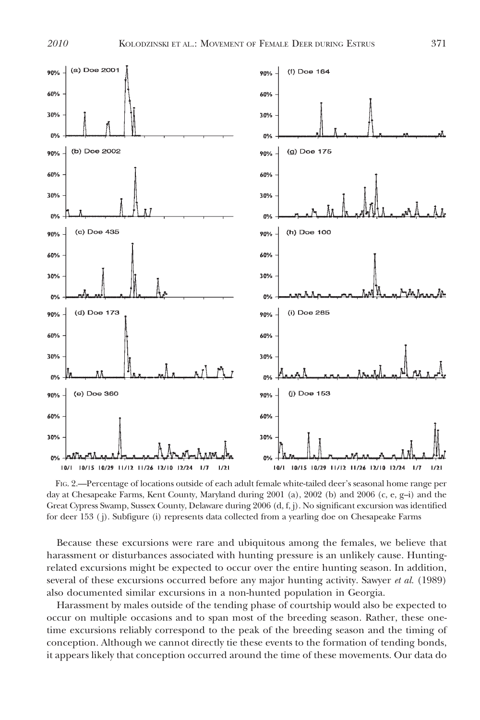

FIG. 2.—Percentage of locations outside of each adult female white-tailed deer's seasonal home range per day at Chesapeake Farms, Kent County, Maryland during 2001 (a), 2002 (b) and 2006 (c, e, g–i) and the Great Cypress Swamp, Sussex County, Delaware during 2006 (d, f, j). No significant excursion was identified for deer 153 ( j). Subfigure (i) represents data collected from a yearling doe on Chesapeake Farms

Because these excursions were rare and ubiquitous among the females, we believe that harassment or disturbances associated with hunting pressure is an unlikely cause. Huntingrelated excursions might be expected to occur over the entire hunting season. In addition, several of these excursions occurred before any major hunting activity. Sawyer et al. (1989) also documented similar excursions in a non-hunted population in Georgia.

Harassment by males outside of the tending phase of courtship would also be expected to occur on multiple occasions and to span most of the breeding season. Rather, these onetime excursions reliably correspond to the peak of the breeding season and the timing of conception. Although we cannot directly tie these events to the formation of tending bonds, it appears likely that conception occurred around the time of these movements. Our data do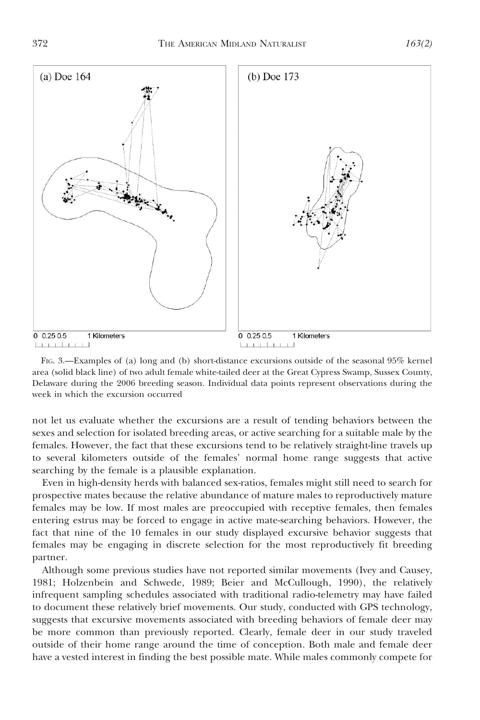

FIG. 3.—Examples of (a) long and (b) short-distance excursions outside of the seasonal 95% kernel area (solid black line) of two adult female white-tailed deer at the Great Cypress Swamp, Sussex County, Delaware during the 2006 breeding season. Individual data points represent observations during the week in which the excursion occurred

not let us evaluate whether the excursions are a result of tending behaviors between the sexes and selection for isolated breeding areas, or active searching for a suitable male by the females. However, the fact that these excursions tend to be relatively straight-line travels up to several kilometers outside of the females' normal home range suggests that active searching by the female is a plausible explanation.

Even in high-density herds with balanced sex-ratios, females might still need to search for prospective mates because the relative abundance of mature males to reproductively mature females may be low. If most males are preoccupied with receptive females, then females entering estrus may be forced to engage in active mate-searching behaviors. However, the fact that nine of the 10 females in our study displayed excursive behavior suggests that females may be engaging in discrete selection for the most reproductively fit breeding partner.

Although some previous studies have not reported similar movements (Ivey and Causey, 1981; Holzenbein and Schwede, 1989; Beier and McCullough, 1990), the relatively infrequent sampling schedules associated with traditional radio-telemetry may have failed to document these relatively brief movements. Our study, conducted with GPS technology, suggests that excursive movements associated with breeding behaviors of female deer may be more common than previously reported. Clearly, female deer in our study traveled outside of their home range around the time of conception. Both male and female deer have a vested interest in finding the best possible mate. While males commonly compete for